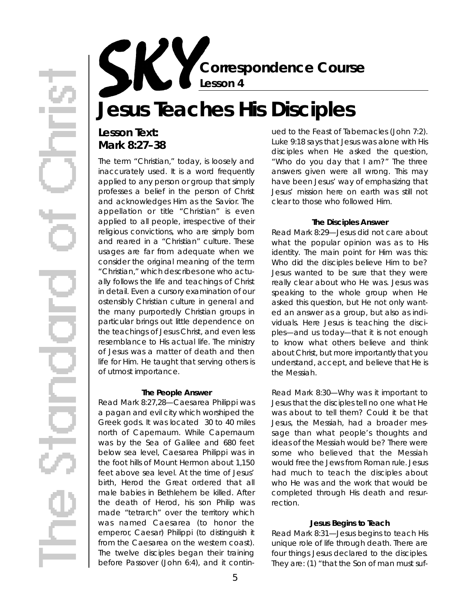**Correspondence Course Lesson 4**

# **Jesus Teaches His Disciples**

## **Lesson Text: Mark 8:27–38**

The term "Christian," today, is loosely and inaccurately used. It is a word frequently applied to any person or group that simply p rofesses a belief in the person of Christ and acknowledges Him as the Savior. The appellation or title "Christian" is even applied to all people, irrespective of their religious convictions, who are simply born and reared in a "Christian" culture. These usages are far from adequate when we consider the original meaning of the term "Christian," which describes one who actually follows the life and teachings of Christ in detail. Even a cursory examination of our ostensibly Christian culture in general and the many purportedly Christian groups in particular brings out little dependence on the teachings of Jesus Christ, and even less resemblance to His actual life. The ministry of Jesus was a matter of death and then life for Him. He taught that serving others is of utmost importance.

#### **The People Answer**

Read Mark 8:27,28—Caesarea Philippi was a pagan and evil city which worshiped the Greek gods. It was located 30 to 40 miles north of Capernaum. While Capernaum was by the Sea of Galilee and 680 feet below sea level, Caesarea Philippi was in the foot hills of Mount Hermon about 1,150 feet above sea level. At the time of Jesus' birth, Herod the Great ordered that all male babies in Bethlehem be killed. After the death of Herod, his son Philip was made "tetrarch" over the territory which was named Caesarea (to honor the emperor, Caesar) Philippi (to distinguish it from the Caesarea on the western coast). The twelve disciples began their training before Passover (John 6:4), and it continued to the Feast of Tabernacles (John 7:2). Luke 9:18 says that Jesus was alone with His disciples when He asked the question, "Who do you day that I am?" The three answers given were all wrong. This may have been Jesus' way of emphasizing that Jesus' mission here on earth was still not clear to those who followed Him.

#### **The Disciples Answer**

*Read Mark 8:29—*Jesus did not care about what the popular opinion was as to His identity. The main point for Him was this: Who did the disciples believe Him to be? Jesus wanted to be sure that they were really clear about who He was. Jesus was speaking to the whole group when He asked this question, but He not only wanted an answer as a group, but also as individuals. Here Jesus is teaching the disciples—and us today—that it is not enough to know what others believe and think about Christ, but more importantly that you understand, accept, and believe that He is the Messiah.

*Read Mark 8:30—*Why was it important to Jesus that the disciples tell no one what He was about to tell them? Could it be that Jesus, the Messiah, had a broader message than what people's thoughts and ideas of the Messiah would be? There were some who believed that the Messiah would free the Jews from Roman rule. Jesus had much to teach the disciples about who He was and the work that would be completed through His death and resurrection

#### **Jesus Begins to Teach**

*Read Mark 8:31—*Jesus begins to teach His unique role of life through death. There are four things Jesus declared to the disciples. They are: (1) "that the Son of man must suf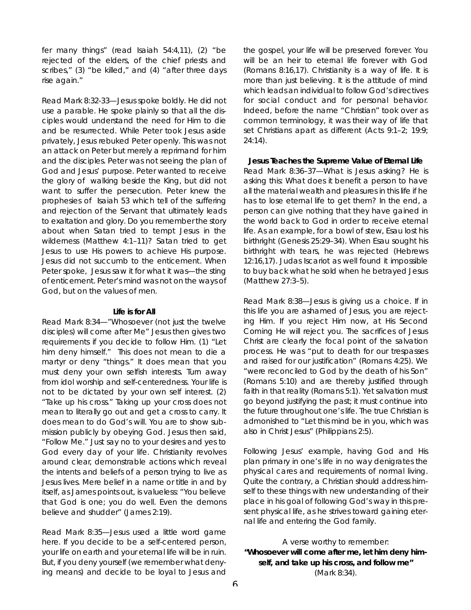fer many things" (read Isaiah 54:4,11), (2) "be rejected of the elders, of the chief priests and scribes," (3) "be killed," and (4) "after three days rise again."

*Read Mark 8:32-33—*Jesus spoke boldly. He did not use a parable. He spoke plainly so that all the disciples would understand the need for Him to die and be resurrected. While Peter took Jesus aside privately, Jesus rebuked Peter openly. This was not an attack on Peter but merely a reprimand for him and the disciples. Peter was not seeing the plan of God and Jesus' purpose. Peter wanted to receive the glory of walking beside the King, but did not want to suffer the persecution. Peter knew the prophesies of Isaiah 53 which tell of the suffering and rejection of the Servant that ultimately leads to exaltation and glory. Do you remember the story about when Satan tried to tempt Jesus in the wilderness (Matthew 4:1-11)? Satan tried to get Jesus to use His powers to achieve His purpose. Jesus did not succumb to the enticement. When Peter spoke, Jesus saw it for what it was—the sting of enticement. Peter's mind was not on the ways of God, but on the values of men.

#### **Life is for All**

*Read Mark 8:34—*"Whosoever (not just the twelve disciples) will come after Me" Jesus then gives two requirements if you decide to follow Him. (1) "Let him deny himself." This does not mean to die a martyr or deny "things." It does mean that you must deny your own selfish interests. Turn away from idol worship and self-centeredness. Your life is not to be dictated by your own self interest. (2) " Take up his cross." Taking up your cross does not mean to literally go out and get a cross to carry. It does mean to do God's will. You are to show submission publicly by obeying God. Jesus then said, "Follow Me." Just say *no* to your desires and *yes* to God every day of your life. Christianity revolves around clear, demonstrable actions which reveal the intents and beliefs of a person trying to live as Jesus lives. Mere belief in a name or title in and by itself, as James points out, is valueless: "You believe that God is one; you do well. Even the demons believe and shudder" (James 2:19).

*Read Mark 8:35—*Jesus used a little word game here. If you decide to be a self-centered person, your life on earth and your eternal life will be in ruin. But, if you deny yourself (we remember what denying means) and decide to be loyal to Jesus and

the gospel, your life will be preserved forever. You will be an heir to eternal life forever with God (Romans 8:16,17). Christianity is a way of life. It is more than just believing. It is the attitude of mind which leads an individual to follow God's directives for social conduct and for personal behavior. Indeed, before the name "Christian" took over as common terminology, it was their way of life that set Christians apart as different (Acts 9:1-2; 19:9;  $24:14$ .

**Jesus Teaches the Supreme Value of Eternal Life** *Read Mark 8:36–37—*What is Jesus asking? He is asking this: What does it benefit a person to have all the material wealth and pleasures in this life if he has to lose eternal life to get them? In the end, a person can give nothing that they have gained in the world back to God in order to receive eternal life. As an example, for a bowl of stew, Esau lost his birthright (Genesis 25:29–34). When Esau sought his birthright with tears, he was rejected (Hebrews 12:16,17). Judas Iscariot as well found it impossible to buy back what he sold when he betrayed Jesus (Matthew 27:3–5).

*Read Mark 8:38—*Jesus is giving us a choice. If in this life you are ashamed of Jesus, you are rejecting Him. If you reject Him now, at His Second Coming He will reject you. The sacrifices of Jesus Christ are clearly the focal point of the salvation process. He was "put to death for our trespasses and raised for our justification" (Romans 4:25). We " were reconciled to God by the death of his Son" (Romans 5:10) and are thereby justified through faith in that reality (Romans 5:1). Yet salvation must go beyond justifying the past; it must continue into the future throughout one's life. The true Christian is admonished to "Let this mind be in you, which was also in Christ Jesus" (Philippians 2:5).

Following Jesus' example, having God and His plan primary in one's life in no way denigrates the physical cares and requirements of normal living. Quite the contrary, a Christian should address himself to these things with new understanding of their place in his goal of following God's way in this present physical life, as he strives toward gaining eternal life and entering the God family.

A verse worthy to remember: **"Whosoever will come after me, let him deny himself, and take up his cross, and follow me"** (Mark 8:34).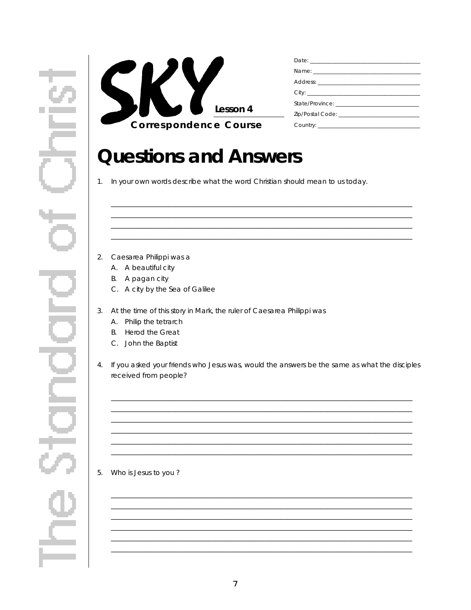

## **Questions and Answers**

1. In your own words describe what the word Christian should mean to us today.

- 2. Caesarea Philippi was a
	- A. A beautiful city
	- B. A pagan city
	- C. A city by the Sea of Galilee
- 3. At the time of this story in Mark, the ruler of Caesarea Philippi was
	- A. Philip the tetrarch
	- B. Herod the Great
	- C. John the Baptist
- 4. If you asked your friends who Jesus was, would the answers be the same as what the disciples received from people?

<u> 1989 - Johann Harry Harry Harry Harry Harry Harry Harry Harry Harry Harry Harry Harry Harry Harry Harry Harry</u>

#### 5. Who is Jesus to you?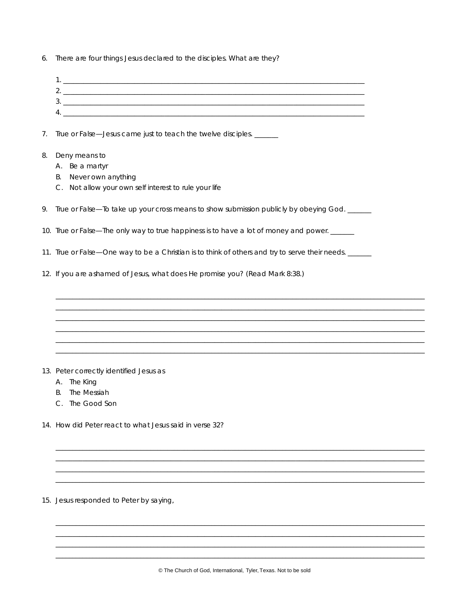6. There are *four* things Jesus declared to the disciples. What are they?

| 2. _ |  |
|------|--|
| 3.   |  |
| Δ.   |  |
|      |  |

7. True or False-Jesus came just to teach the twelve disciples. \_\_\_\_\_\_

- 8. Deny means to
	- A. Be a martyr
	- B. Never own anything
	- C. Not allow your own self interest to rule your life

9. True or False—To take up your cross means to show submission publicly by obeying God. \_\_\_\_\_\_

- 10. True or False—The only way to true happiness is to have a lot of money and power.
- 11. True or False—One way to be a Christian is to think of others and try to serve their needs.
- 12. If you are ashamed of Jesus, what does He promise you? (Read Mark 8:38.)

- 13. Peter correctly identified Jesus as
	- A. The King
	- **B.** The Messiah
	- C. The Good Son
- 14. How did Peter react to what Jesus said in verse 32?

15. Jesus responded to Peter by saying,